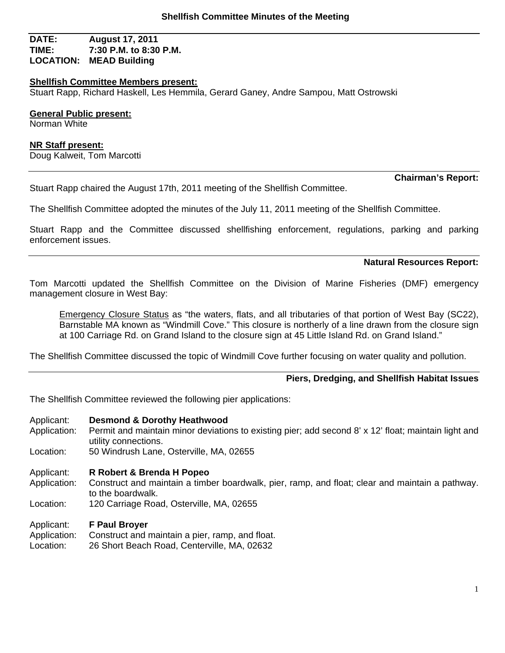# **DATE: August 17, 2011 TIME: 7:30 P.M. to 8:30 P.M. LOCATION: MEAD Building**

#### **Shellfish Committee Members present:**

Stuart Rapp, Richard Haskell, Les Hemmila, Gerard Ganey, Andre Sampou, Matt Ostrowski

## **General Public present:**

Norman White

#### **NR Staff present:**

Doug Kalweit, Tom Marcotti

Stuart Rapp chaired the August 17th, 2011 meeting of the Shellfish Committee.

# **Chairman's Report:**

The Shellfish Committee adopted the minutes of the July 11, 2011 meeting of the Shellfish Committee.

Stuart Rapp and the Committee discussed shellfishing enforcement, regulations, parking and parking enforcement issues.

#### **Natural Resources Report:**

Tom Marcotti updated the Shellfish Committee on the Division of Marine Fisheries (DMF) emergency management closure in West Bay:

Emergency Closure Status as "the waters, flats, and all tributaries of that portion of West Bay (SC22), Barnstable MA known as "Windmill Cove." This closure is northerly of a line drawn from the closure sign at 100 Carriage Rd. on Grand Island to the closure sign at 45 Little Island Rd. on Grand Island."

The Shellfish Committee discussed the topic of Windmill Cove further focusing on water quality and pollution.

## **Piers, Dredging, and Shellfish Habitat Issues**

The Shellfish Committee reviewed the following pier applications:

#### Applicant: **Desmond & Dorothy Heathwood**

- Application: Permit and maintain minor deviations to existing pier; add second 8' x 12' float; maintain light and utility connections.
- Location: 50 Windrush Lane, Osterville, MA, 02655
- Applicant: **R Robert & Brenda H Popeo**
- Application: Construct and maintain a timber boardwalk, pier, ramp, and float; clear and maintain a pathway. to the boardwalk.
- Location: 120 Carriage Road, Osterville, MA, 02655

#### Applicant: **F Paul Broyer**

- Application: Construct and maintain a pier, ramp, and float.
- Location: 26 Short Beach Road, Centerville, MA, 02632